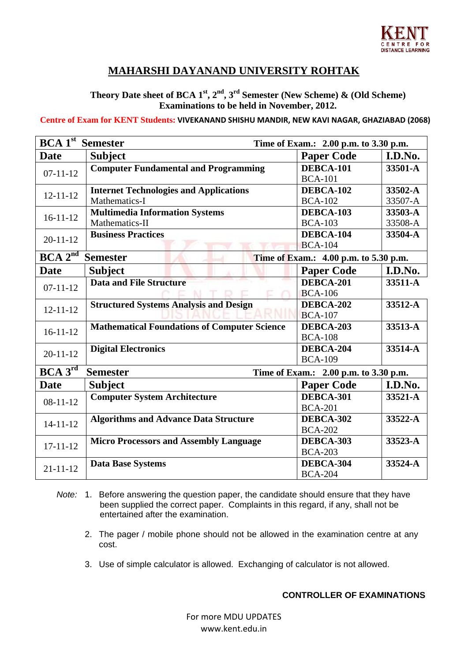

## **MAHARSHI DAYANAND UNIVERSITY ROHTAK**

**Theory Date sheet of BCA**  $1^{st}$ **,**  $2^{nd}$ **,**  $3^{rd}$  **Semester (New Scheme)**  $\&$  **(Old Scheme) Examinations to be held in November, 2012.** 

 **Centre of Exam for KENT Students: VIVEKANAND SHISHU MANDIR, NEW KAVI NAGAR, GHAZIABAD (2068)**

| <b>BCA 1st</b> Semester                                                         |                                                     | Time of Exam.: 2.00 p.m. to 3.30 p.m. |         |  |
|---------------------------------------------------------------------------------|-----------------------------------------------------|---------------------------------------|---------|--|
| <b>Date</b>                                                                     | <b>Subject</b>                                      | <b>Paper Code</b>                     | I.D.No. |  |
| $07 - 11 - 12$                                                                  | <b>Computer Fundamental and Programming</b>         | DEBCA-101                             | 33501-A |  |
|                                                                                 |                                                     | <b>BCA-101</b>                        |         |  |
| $12 - 11 - 12$                                                                  | <b>Internet Technologies and Applications</b>       | DEBCA-102                             | 33502-A |  |
|                                                                                 | Mathematics-I                                       | <b>BCA-102</b>                        | 33507-A |  |
| $16 - 11 - 12$                                                                  | <b>Multimedia Information Systems</b>               | DEBCA-103                             | 33503-A |  |
|                                                                                 | Mathematics-II                                      | <b>BCA-103</b>                        | 33508-A |  |
| $20 - 11 - 12$                                                                  | <b>Business Practices</b>                           | DEBCA-104                             | 33504-A |  |
|                                                                                 |                                                     | <b>BCA-104</b>                        |         |  |
| BCA 2 <sup>nd</sup><br><b>Semester</b><br>Time of Exam.: 4.00 p.m. to 5.30 p.m. |                                                     |                                       |         |  |
| <b>Date</b>                                                                     | <b>Subject</b>                                      | <b>Paper Code</b>                     | I.D.No. |  |
| $07 - 11 - 12$                                                                  | <b>Data and File Structure</b>                      | DEBCA-201                             | 33511-A |  |
|                                                                                 |                                                     | <b>BCA-106</b>                        |         |  |
| $12 - 11 - 12$                                                                  | <b>Structured Systems Analysis and Design</b>       | DEBCA-202                             | 33512-A |  |
|                                                                                 |                                                     | <b>BCA-107</b>                        |         |  |
| $16 - 11 - 12$                                                                  | <b>Mathematical Foundations of Computer Science</b> | DEBCA-203                             | 33513-A |  |
|                                                                                 |                                                     | <b>BCA-108</b>                        |         |  |
| $20 - 11 - 12$                                                                  | <b>Digital Electronics</b>                          | DEBCA-204                             | 33514-A |  |
|                                                                                 |                                                     | <b>BCA-109</b>                        |         |  |
| BCA 3 <sup>rd</sup><br><b>Semester</b><br>Time of Exam.: 2.00 p.m. to 3.30 p.m. |                                                     |                                       |         |  |
| <b>Date</b>                                                                     | <b>Subject</b>                                      | <b>Paper Code</b>                     | I.D.No. |  |
| $08 - 11 - 12$                                                                  | <b>Computer System Architecture</b>                 | DEBCA-301                             | 33521-A |  |
|                                                                                 |                                                     | <b>BCA-201</b>                        |         |  |
| $14 - 11 - 12$                                                                  | <b>Algorithms and Advance Data Structure</b>        | DEBCA-302                             | 33522-A |  |
|                                                                                 |                                                     | <b>BCA-202</b>                        |         |  |
| $17 - 11 - 12$                                                                  | <b>Micro Processors and Assembly Language</b>       | DEBCA-303                             | 33523-A |  |
|                                                                                 |                                                     | <b>BCA-203</b>                        |         |  |
| $21 - 11 - 12$                                                                  | <b>Data Base Systems</b>                            | DEBCA-304                             | 33524-A |  |
|                                                                                 |                                                     | <b>BCA-204</b>                        |         |  |

- *Note:* 1. Before answering the question paper, the candidate should ensure that they have been supplied the correct paper. Complaints in this regard, if any, shall not be entertained after the examination.
	- 2. The pager / mobile phone should not be allowed in the examination centre at any cost.
	- 3. Use of simple calculator is allowed. Exchanging of calculator is not allowed.

## **CONTROLLER OF EXAMINATIONS**